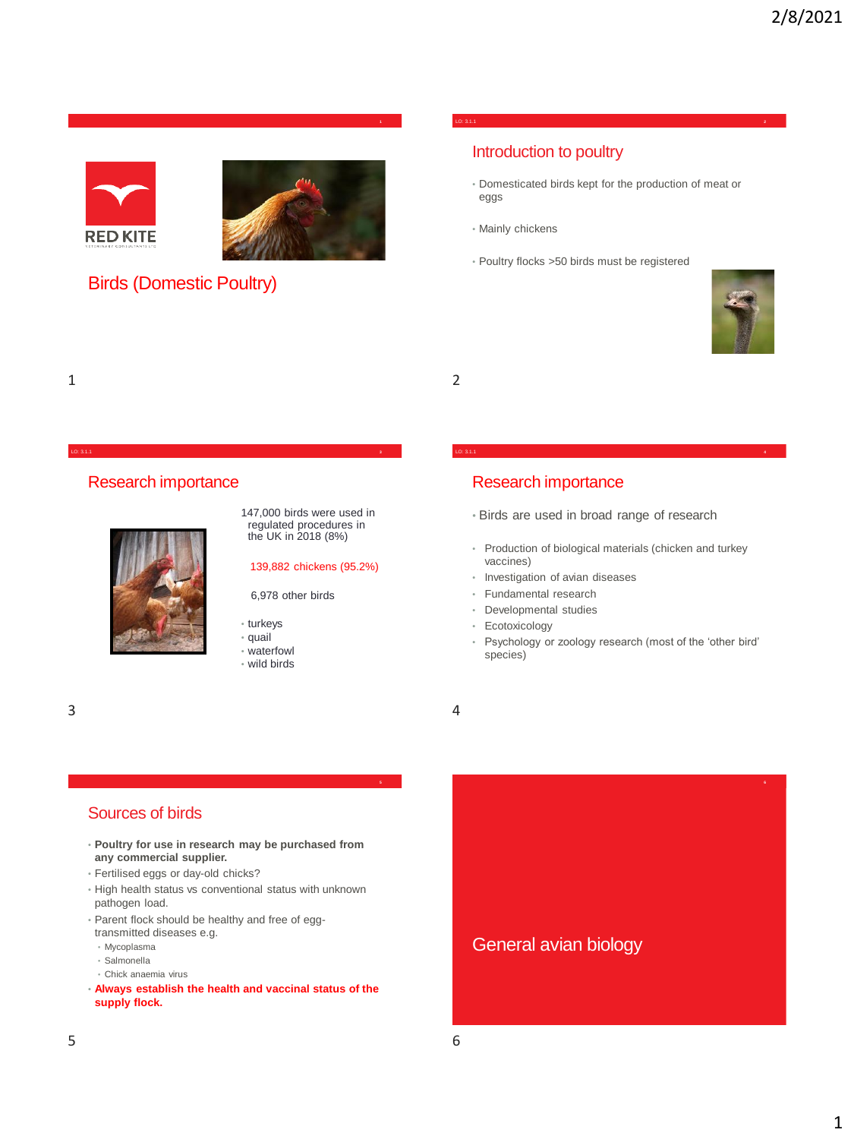



## Birds (Domestic Poultry)

#### LO: 3.1.1 **2**

## Introduction to poultry

- Domesticated birds kept for the production of meat or eggs
- Mainly chickens
- Poultry flocks >50 birds must be registered



1 2

## Research importance



147,000 birds were used in regulated procedures in the UK in 2018 (8%)

#### 139,882 chickens (95.2%)

6,978 other birds

• turkeys

LO: 3.1.1 **3**

- quail
- waterfowl
- wild birds

## Research importance

- Birds are used in broad range of research
- Production of biological materials (chicken and turkey vaccines)

LO: 3.1.1 **4**

- Investigation of avian diseases
- Fundamental research
- Developmental studies
- Ecotoxicology
- Psychology or zoology research (most of the 'other bird' species)

#### $3 \overline{4}$

## Sources of birds

- **Poultry for use in research may be purchased from any commercial supplier.**
- Fertilised eggs or day-old chicks?
- High health status vs conventional status with unknown pathogen load.
- Parent flock should be healthy and free of eggtransmitted diseases e.g.
- Mycoplasma
- Salmonella
- Chick anaemia virus
- **Always establish the health and vaccinal status of the supply flock.**

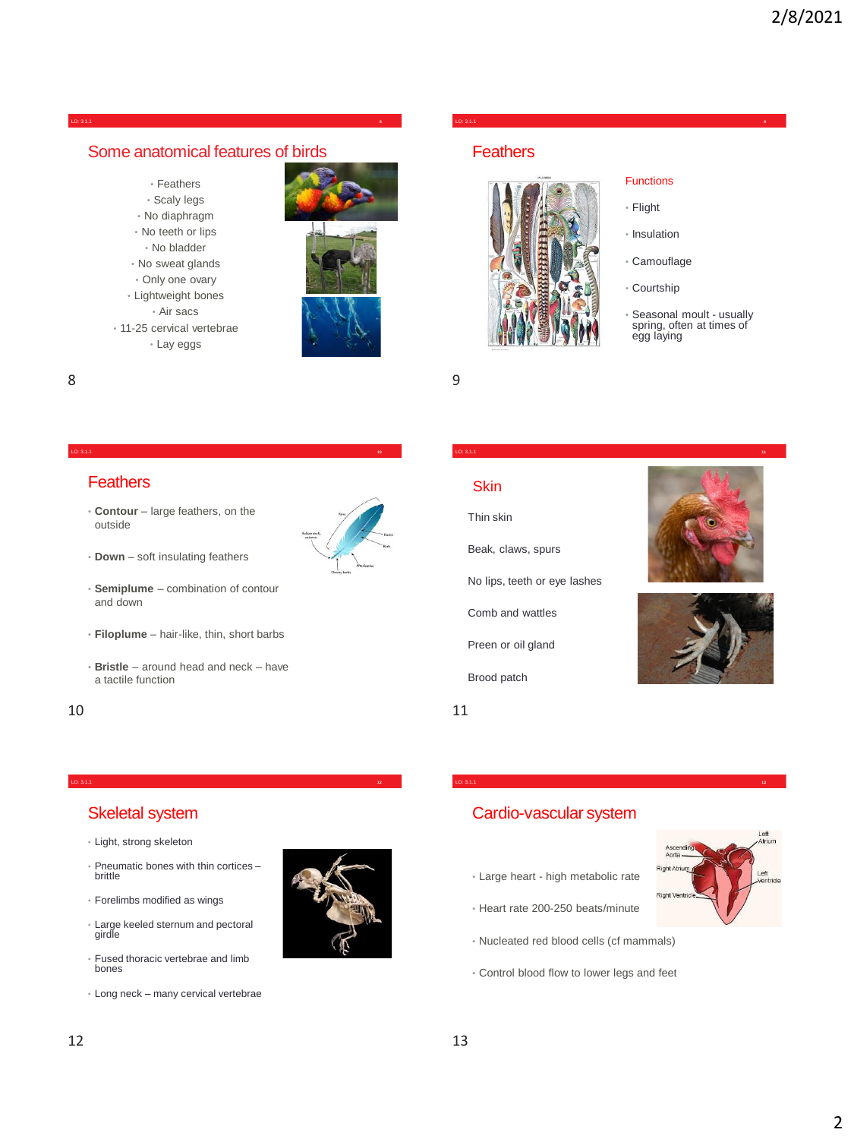#### LO: 3.1.1 **8**

### Some anatomical features of birds

- Feathers • Scaly legs • No diaphragm • No teeth or lips • No bladder • No sweat glands
- Only one ovary
- Lightweight bones • Air sacs • 11-25 cervical vertebrae
- Lay eggs



## LO: 3.1.1 **9**

## **Feathers**



#### **Functions**

- Flight
- Insulation
- Camouflage
- Courtship

LO: 3.1.1 **11**

LO: 3.1.1 **13**

• Seasonal moult - usually spring, often at times of egg laying

8 9

#### LO: 3.1.1 **10**

### **Feathers**

• **Contour** – large feathers, on the outside



- **Down** soft insulating feathers
- **Semiplume** combination of contour and down
- **Filoplume** hair-like, thin, short barbs
- **Bristle** around head and neck have a tactile function

LO: 3.1.1 **12**

Beak, claws, spurs

Thin skin

**Skin** 

- No lips, teeth or eye lashes
- Comb and wattles
- Preen or oil gland
- Brood patch





### Skeletal system

- Light, strong skeleton
- Pneumatic bones with thin cortices brittle
- Forelimbs modified as wings
- Large keeled sternum and pectoral girdle
- Fused thoracic vertebrae and limb bones
- Long neck many cervical vertebrae



## Cardio-vascular system

- Large heart high metabolic rate
- Heart rate 200-250 beats/minute
- Nucleated red blood cells (cf mammals)
- Control blood flow to lower legs and feet

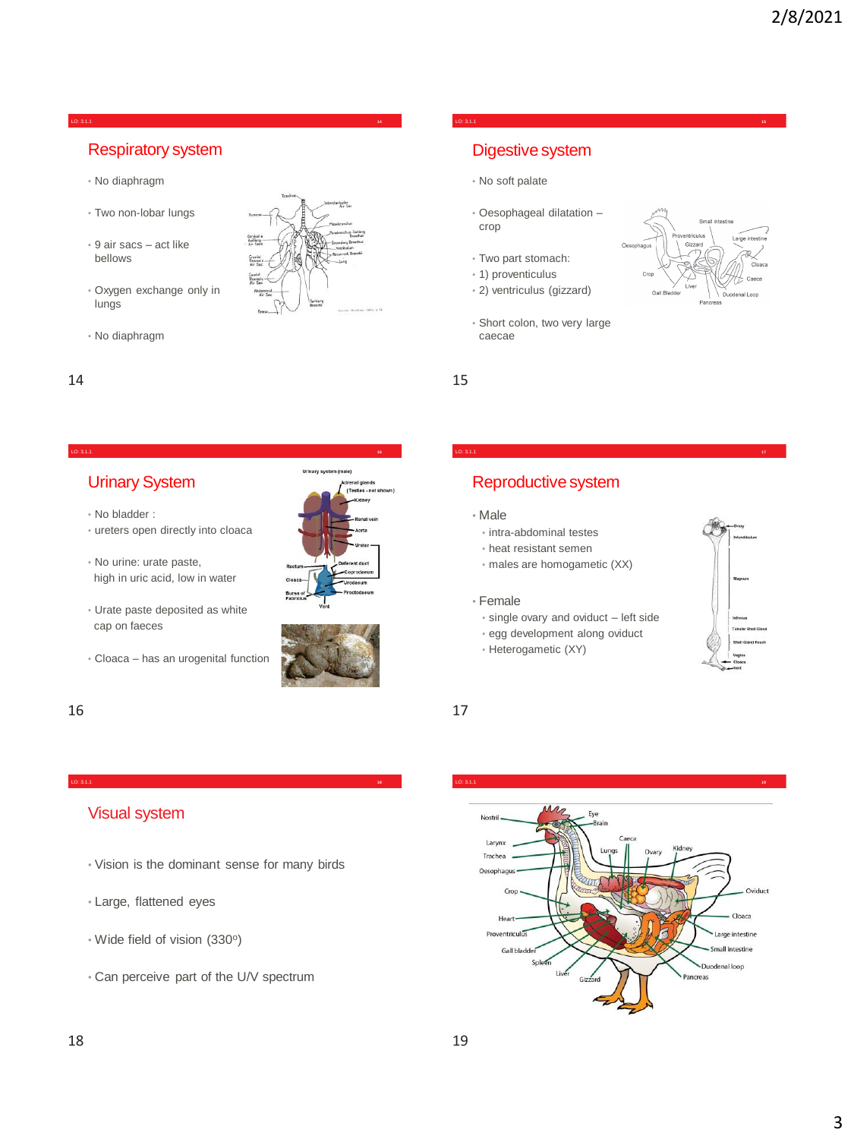#### LO: 3.1.1 **14**

## Respiratory system

- No diaphragm
- Two non-lobar lungs
- 9 air sacs act like bellows
- Oxygen exchange only in lungs



• No diaphragm

#### LO: 3.1.1 **16**

## Urinary System

- No bladder :
- ureters open directly into cloaca
- No urine: urate paste, high in uric acid, low in water
- Urate paste deposited as white cap on faeces

Visual system

• Large, flattened eyes

• Wide field of vision (330°)

• Cloaca – has an urogenital function

• Vision is the dominant sense for many birds

• Can perceive part of the U/V spectrum





#### 16 17

## Digestive system

- No soft palate
- Oesophageal dilatation crop

LO: 3.1.1 **15**

LO: 3.1.1 **17**

- Two part stomach:
- 1) proventiculus
- 2) ventriculus (gizzard)
- Short colon, two very large caecae

 $14$  15

## Reproductive system

#### • Male

- intra-abdominal testes
- heat resistant semen
- males are homogametic (XX)

#### • Female

- single ovary and oviduct left side
- egg development along oviduct
- Heterogametic (XY)



LO: 3.1.1 **18** LO: 3.1.1 **19**

#### Nostril-Larynx Trachea Oesophagus  $C_{\text{tot}}$ Oviduct Hea Cloaca Proventriculus Il intestine Gall bla Duodenal loop Pancreas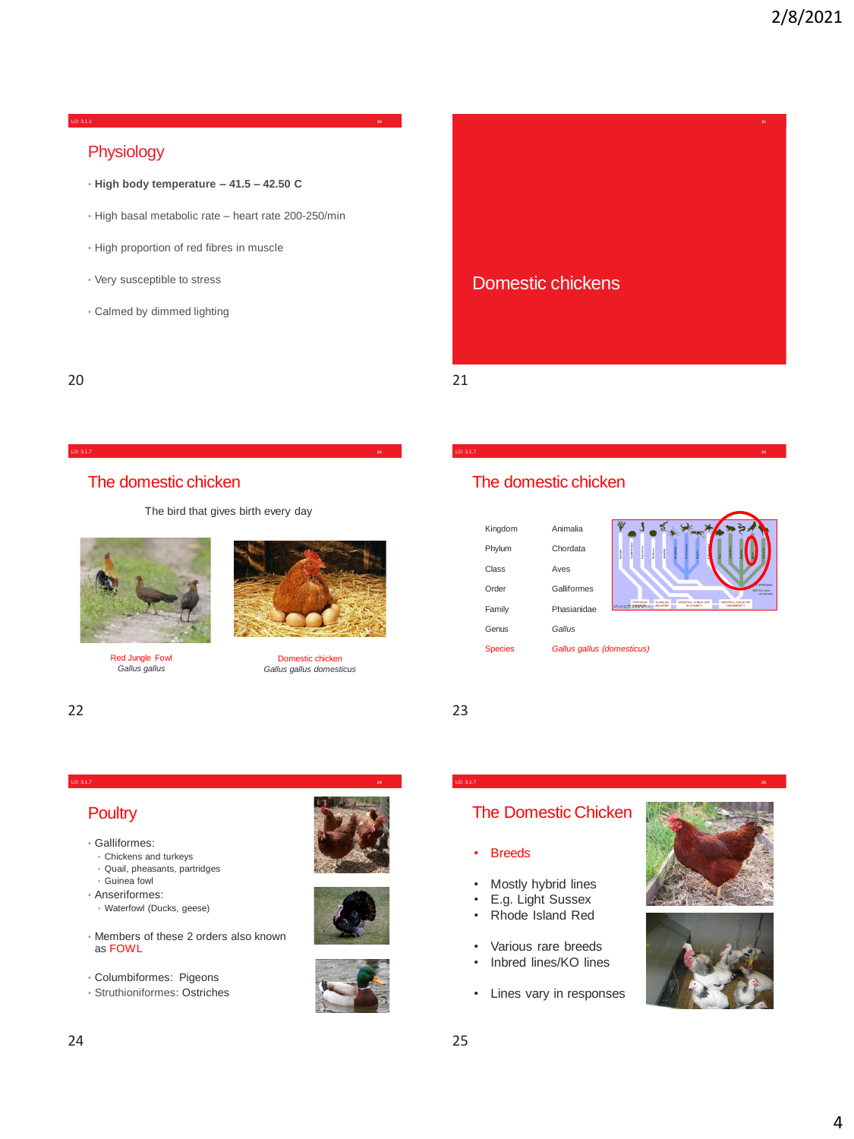#### LO: 3.1.1 **20**

## Physiology

- **High body temperature – 41.5 – 42.50 C**
- High basal metabolic rate heart rate 200-250/min
- High proportion of red fibres in muscle
- Very susceptible to stress
- Calmed by dimmed lighting



20 21

## The domestic chicken

The bird that gives birth every day

LO: 3.1.7 **24**



Red Jungle Fowl *Gallus gallus*



#### 22 23



Domestic chicken *Gallus gallus domesticus*

# Kingdom Animalia

| .              |                            |             |                 |  |
|----------------|----------------------------|-------------|-----------------|--|
| Phylum         | Chordata                   | in the con- | į               |  |
| Class          | Aves                       |             |                 |  |
| Order          | Galliformes                |             |                 |  |
| Family         | Phasianidae                |             | Microsoft IPPAN |  |
| Genus          | Gallus                     |             |                 |  |
| <b>Species</b> | Gallus gallus (domesticus) |             |                 |  |

The domestic chicken



**23**

## **Poultry**

- Galliformes:
	- Chickens and turkeys
	- Quail, pheasants, partridges
- Guinea fowl
- Anseriformes:
- Waterfowl (Ducks, geese)
- Members of these 2 orders also known as FOWL
- Columbiformes: Pigeons
- Struthioniformes: Ostriches







## The Domestic Chicken

LO: 3.1.7 **25**

#### **Breeds**

- Mostly hybrid lines
- E.g. Light Sussex
- Rhode Island Red
- Various rare breeds
- Inbred lines/KO lines
- Lines vary in responses



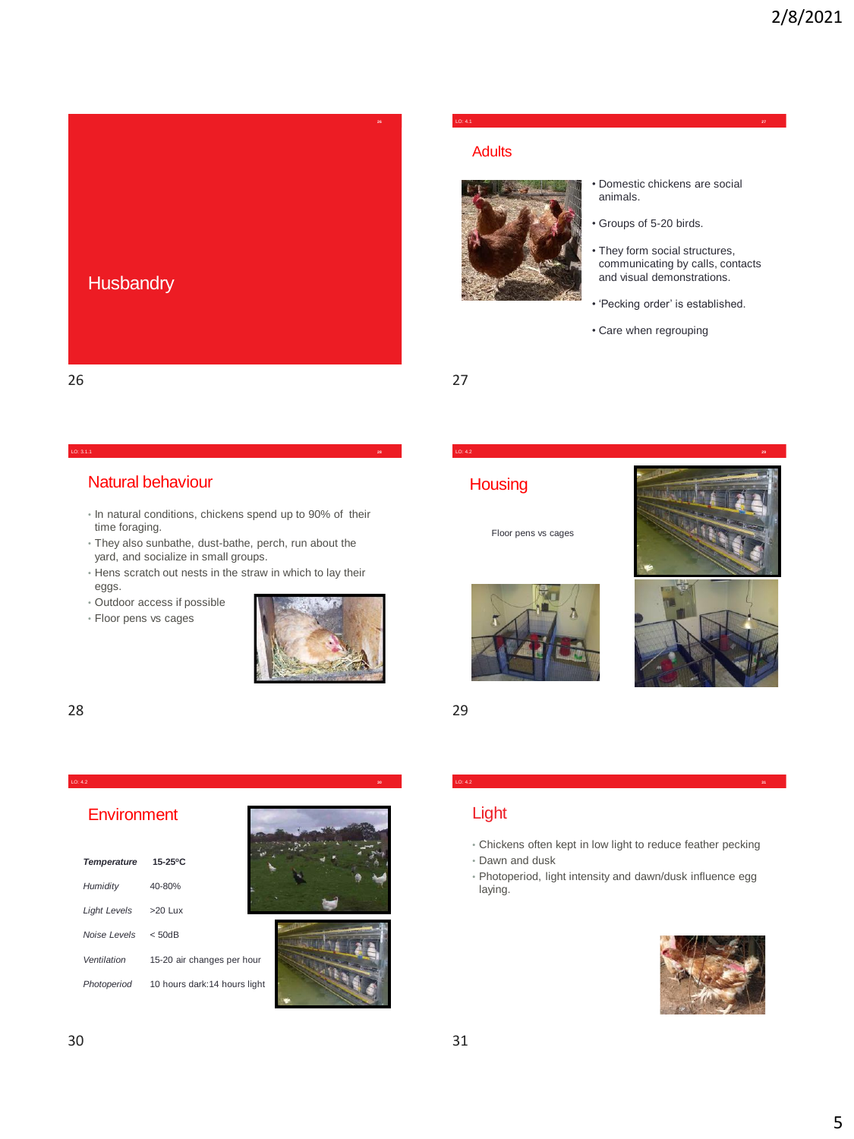

## Natural behaviour

• In natural conditions, chickens spend up to 90% of their time foraging.

LO: 3.1.1 **28**

- They also sunbathe, dust-bathe, perch, run about the yard, and socialize in small groups.
- Hens scratch out nests in the straw in which to lay their eggs.

LO: 4.2 **30**

- Outdoor access if possible
- Floor pens vs cages



#### 28 29

### **Environment**

| <b>Temperature</b> | 15-25°C                      |
|--------------------|------------------------------|
| Humidity           | 40-80%                       |
| Light Levels       | $>20$ Lux                    |
| Noise Levels       | < 50dB                       |
| Ventilation        | 15-20 air changes per hour   |
| Photoperiod        | 10 hours dark:14 hours light |





#### LO: 4.1 **27**

#### Adults



- Domestic chickens are social animals.
- Groups of 5-20 birds.
- They form social structures, communicating by calls, contacts and visual demonstrations.
- 'Pecking order' is established.
- Care when regrouping

LO: 4.2 **29**

## **Housing**

Floor pens vs cages













## Light

• Chickens often kept in low light to reduce feather pecking

LO: 4.2 **31**

- Dawn and dusk
- Photoperiod, light intensity and dawn/dusk influence egg laying.

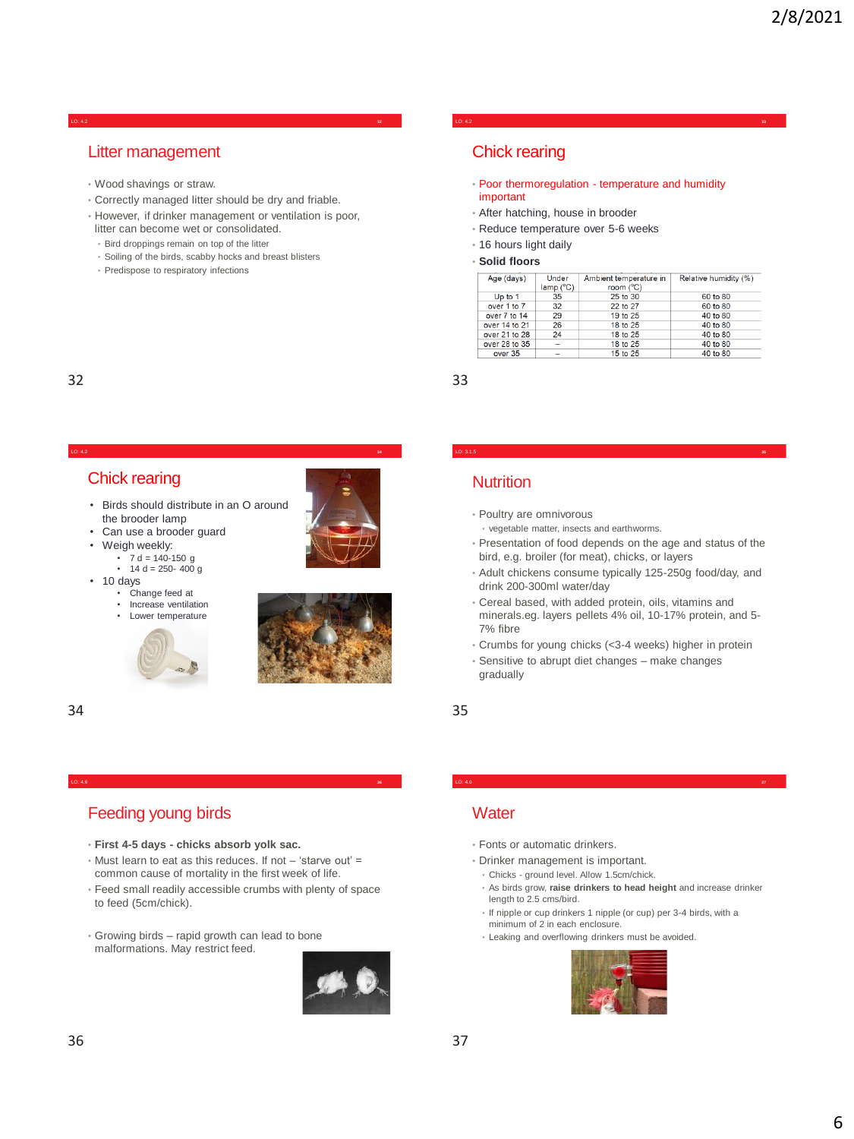#### LO: 4.2 **32**

### Litter management

- Wood shavings or straw.
- Correctly managed litter should be dry and friable.
- However, if drinker management or ventilation is poor, litter can become wet or consolidated.

LO: 4.2 **34**

- Bird droppings remain on top of the litter
- Soiling of the birds, scabby hocks and breast blisters
- Predispose to respiratory infections

### Chick rearing

• Poor thermoregulation - temperature and humidity important

LO: 4.2 **33**

- After hatching, house in brooder
- Reduce temperature over 5-6 weeks
- 16 hours light daily
- **Solid floors**

| Age (days)    | Under<br>lamp (°C) | Ambient temperature in<br>room (°C) | Relative humidity (%) |
|---------------|--------------------|-------------------------------------|-----------------------|
| Up to 1       | 35                 | 25 to 30                            | 60 to 80              |
| over 1 to 7   | 32                 | 22 to 27                            | 60 to 80              |
| over 7 to 14  | 29                 | 19 to 25                            | 40 to 80              |
| over 14 to 21 | 26                 | 18 to 25                            | 40 to 80              |
| over 21 to 28 | 24                 | 18 to 25                            | 40 to 80              |
| over 28 to 35 |                    | 18 to 25                            | 40 to 80              |
| over 35       |                    | 15 to 25                            | 40 to 80              |

## 32 33

### Chick rearing

- Birds should distribute in an O around the brooder lamp
- Can use a brooder quard • Weigh weekly:
	-
	- 7 d = 140-150 g 14 d = 250- 400 g
- 10 days
	- Change feed at<br>• Increase ventilation
	- Increase ventilation • Lower temperature



#### 34 35

## Feeding young birds

- **First 4-5 days - chicks absorb yolk sac.**
- Must learn to eat as this reduces. If not 'starve out' = common cause of mortality in the first week of life.

LO: 4.6 **36**

- Feed small readily accessible crumbs with plenty of space to feed (5cm/chick).
- Growing birds rapid growth can lead to bone malformations. May restrict feed.



## **Nutrition**

- Poultry are omnivorous
- vegetable matter, insects and earthworms.
- Presentation of food depends on the age and status of the bird, e.g. broiler (for meat), chicks, or layers

LO: 3.1.5 **35**

- Adult chickens consume typically 125-250g food/day, and drink 200-300ml water/day
- Cereal based, with added protein, oils, vitamins and minerals.eg. layers pellets 4% oil, 10-17% protein, and 5- 7% fibre
- Crumbs for young chicks (<3-4 weeks) higher in protein
- Sensitive to abrupt diet changes make changes gradually

### **Water**

- Fonts or automatic drinkers.
- Drinker management is important.
- Chicks ground level. Allow 1.5cm/chick.
- As birds grow, **raise drinkers to head height** and increase drinker length to 2.5 cms/bird.
- If nipple or cup drinkers 1 nipple (or cup) per 3-4 birds, with a minimum of 2 in each enclosure.

LO: 4.6 **37**

• Leaking and overflowing drinkers must be avoided.

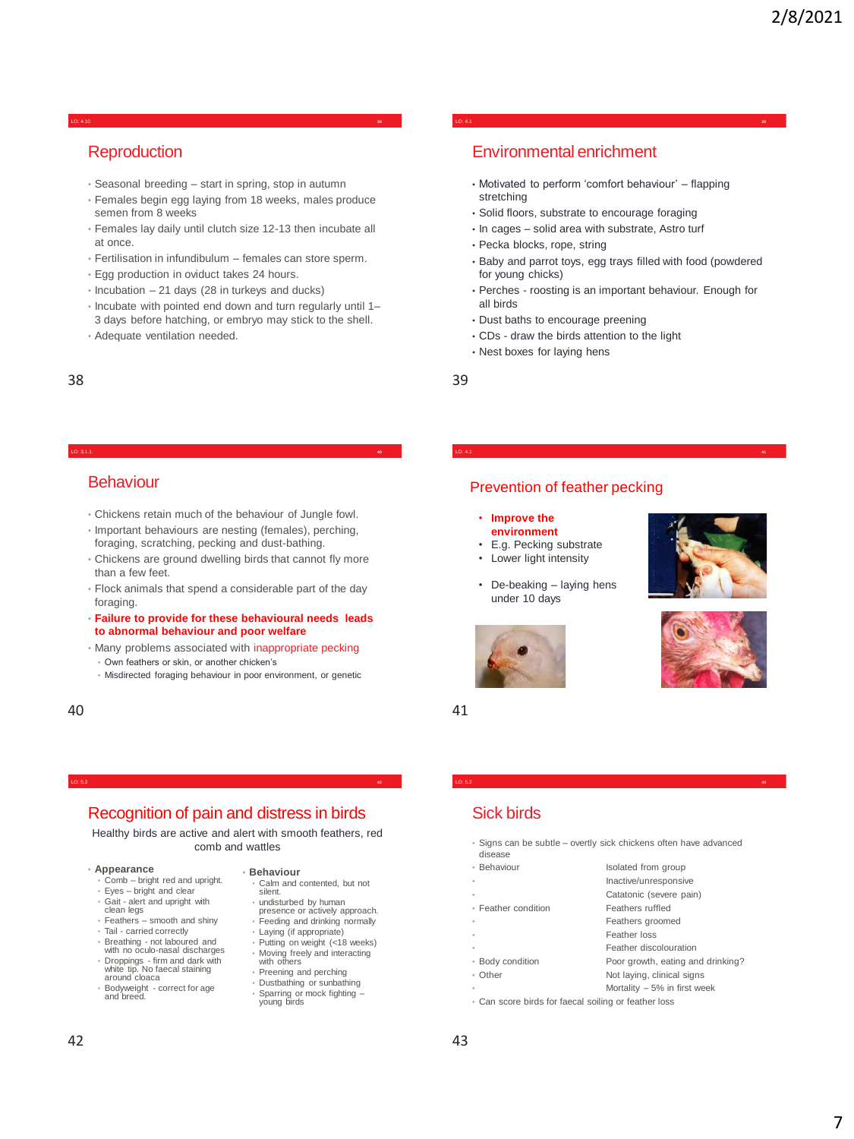#### LO: 4.10 **38**

## **Reproduction**

- Seasonal breeding start in spring, stop in autumn
- Females begin egg laying from 18 weeks, males produce semen from 8 weeks
- Females lay daily until clutch size 12-13 then incubate all at once.
- Fertilisation in infundibulum females can store sperm.
- Egg production in oviduct takes 24 hours.
- Incubation 21 days (28 in turkeys and ducks)
- Incubate with pointed end down and turn regularly until 1– 3 days before hatching, or embryo may stick to the shell.
- Adequate ventilation needed.

#### LO: 3.1.1 **40**

#### **Behaviour**

- Chickens retain much of the behaviour of Jungle fowl.
- Important behaviours are nesting (females), perching, foraging, scratching, pecking and dust-bathing.
- Chickens are ground dwelling birds that cannot fly more than a few feet.
- Flock animals that spend a considerable part of the day foraging.
- **Failure to provide for these behavioural needs leads to abnormal behaviour and poor welfare**
- Many problems associated with inappropriate pecking
- Own feathers or skin, or another chicken's
- Misdirected foraging behaviour in poor environment, or genetic

40 41

## Environmental enrichment

• Motivated to perform 'comfort behaviour' – flapping stretching

LO: 4.1 **39**

- Solid floors, substrate to encourage foraging
- In cages solid area with substrate, Astro turf
- Pecka blocks, rope, string
- Baby and parrot toys, egg trays filled with food (powdered for young chicks)
- Perches roosting is an important behaviour. Enough for all birds

LO: 4.1 **41**

- Dust baths to encourage preening
- CDs draw the birds attention to the light
- Nest boxes for laying hens

38 39

#### Prevention of feather pecking

#### • **Improve the environment**

- E.g. Pecking substrate
- Lower light intensity
- 
- De-beaking laying hens under 10 days







## LO: 5.2 **42**

#### Recognition of pain and distress in birds

Healthy birds are active and alert with smooth feathers, red comb and wattles

#### • **Appearance**

- Comb bright red and upright.
- Eyes bright and clear • Gait - alert and upright with
- clean legs Feathers smooth and shiny
- Tail carried correctly
- Breathing not laboured and with no oculo-nasal discharges
- Droppings firm and dark with white tip. No faecal staining
- around cloaca • Bodyweight - correct for age and breed.
- **Behaviour**
- Calm and contented, but not silent.
- undisturbed by human presence or actively approach.
- Feeding and drinking normally
- Laying (if appropriate) • Putting on weight (<18 weeks)
- Moving freely and interacting with others
- Preening and perching
- Dustbathing or sunbathing • Sparring or mock fighting – young birds

## Sick birds

• Signs can be subtle – overtly sick chickens often have advanced

LO: 5.2 **43**

- disease
- Behaviour Isolated from group
	- Inactive/unresponsive Catatonic (severe pain)
- Feather condition Feathers ruffled
	- Feathers groomed
	- Feather loss
	- Feather discolouration
- Body condition Poor growth, eating and drinking?
- Other Not laying, clinical signs
	- Mortality  $-5%$  in first week
- Can score birds for faecal soiling or feather loss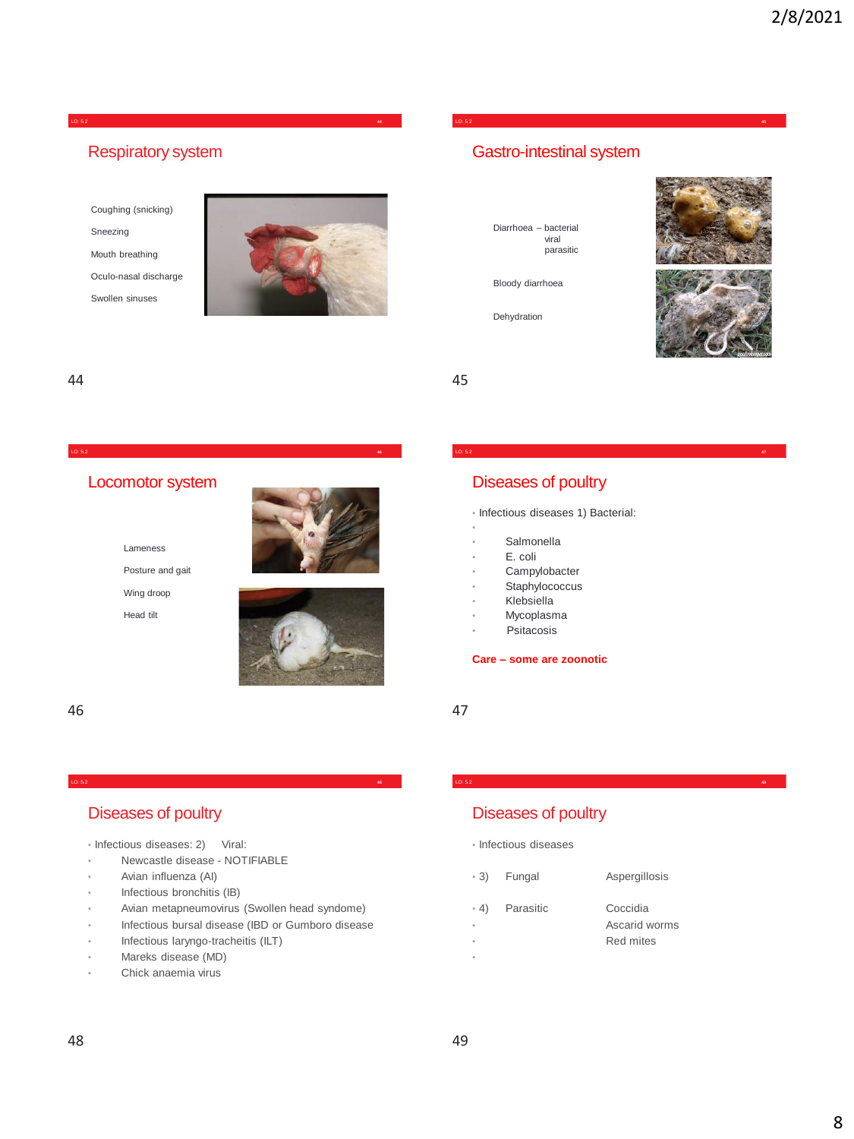#### LO: 5.2 **44**

## Respiratory system

Coughing (snicking) Sneezing Mouth breathing

Oculo-nasal discharge

Swollen sinuses



## Gastro-intestinal system

LO: 5.2 **45**

LO: 5.2 **47**

Diarrhoea – bacterial viral parasitic

Bloody diarrhoea

Dehydration





#### 44 45

## Locomotor system

LO: 5.2 **46**





Posture and gait Wing droop Head tilt



## Diseases of poultry

• Infectious diseases 1) Bacterial:

- **Salmonella**
- E. coli
- **Campylobacter**
- Staphylococcus
- Klebsiella
- **Mycoplasma**
- **Psitacosis**

#### **Care – some are zoonotic**

46 47

## Diseases of poultry

- Infectious diseases: 2) Viral:
- Newcastle disease NOTIFIABLE
- Avian influenza (AI)
- Infectious bronchitis (IB)
- Avian metapneumovirus (Swollen head syndome)

LO: 5.2 **48**

- Infectious bursal disease (IBD or Gumboro disease
- Infectious laryngo-tracheitis (ILT)
- Mareks disease (MD)
- Chick anaemia virus

## Diseases of poultry

• Infectious diseases

| - 3)            | Fungal    | Aspergillosis                          |
|-----------------|-----------|----------------------------------------|
| $-4)$<br>٠<br>٠ | Parasitic | Coccidia<br>Ascarid worms<br>Red mites |

LO: 5.2 **49**

•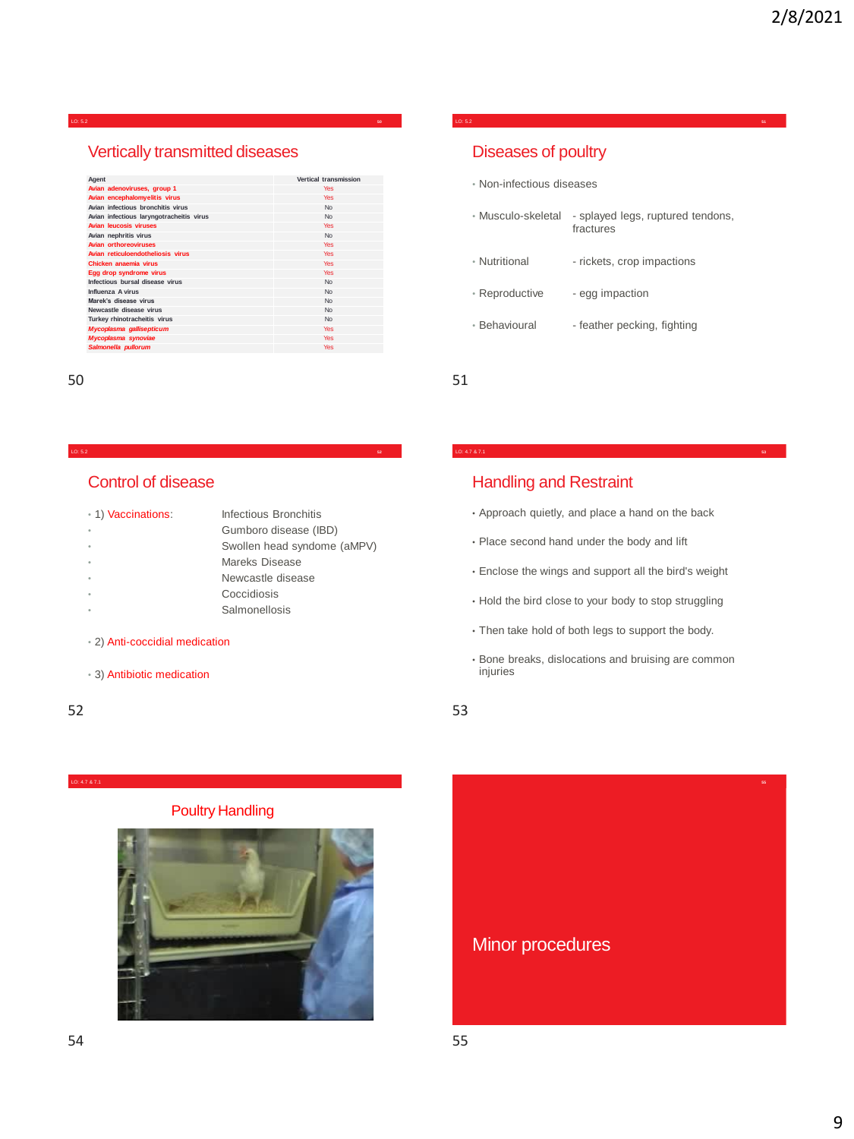#### LO: 5.2

## Vertically transmitted diseases

| Agent                                    | Vertical transmission |
|------------------------------------------|-----------------------|
| Avian adenoviruses, group 1              | <b>Yes</b>            |
| Avian encephalomyelitis virus            | <b>Yes</b>            |
| Avian infectious bronchitis virus        | <b>No</b>             |
| Avian infectious laryngotracheitis virus | <b>No</b>             |
| <b>Avian leucosis viruses</b>            | <b>Yes</b>            |
| Avian nephritis virus                    | <b>No</b>             |
| <b>Avian orthoreoviruses</b>             | <b>Yes</b>            |
| Avian reticuloendotheliosis virus        | <b>Yes</b>            |
| Chicken anaemia virus                    | Yes                   |
| Egg drop syndrome virus                  | Yes                   |
| Infectious bursal disease virus          | No                    |
| Influenza A virus                        | <b>No</b>             |
| Marek's disease virus                    | <b>No</b>             |
| Newcastle disease virus                  | <b>No</b>             |
| Turkey rhinotracheitis virus             | No                    |
| Mycoplasma gallisepticum                 | <b>Yes</b>            |
| Mycoplasma synoviae                      | <b>Yes</b>            |
| Salmonella pullorum                      | <b>Yes</b>            |

#### LO: 5.2 **52**

### Control of disease

| • 1) Vaccinations: | Infectious Bronchitis       |
|--------------------|-----------------------------|
|                    | Gumboro disease (IBD)       |
|                    | Swollen head syndome (aMPV) |
|                    | Mareks Disease              |
|                    | Newcastle disease           |
|                    | Coccidiosis                 |
|                    | Salmonellosis               |
|                    |                             |

#### • 2) Anti-coccidial medication

• 3) Antibiotic medication

#### 52 53

#### LO: 4.7 & 7.1

#### Poultry Handling



## Diseases of poultry

- Non-infectious diseases
- Musculo-skeletal splayed legs, ruptured tendons, fractures

LO: 5.2 **51**

- Nutritional rickets, crop impactions
- Reproductive egg impaction
- Behavioural feather pecking, fighting

50 51

## Handling and Restraint

- Approach quietly, and place a hand on the back
- Place second hand under the body and lift
- Enclose the wings and support all the bird's weight
- Hold the bird close to your body to stop struggling
- Then take hold of both legs to support the body.
- Bone breaks, dislocations and bruising are common injuries

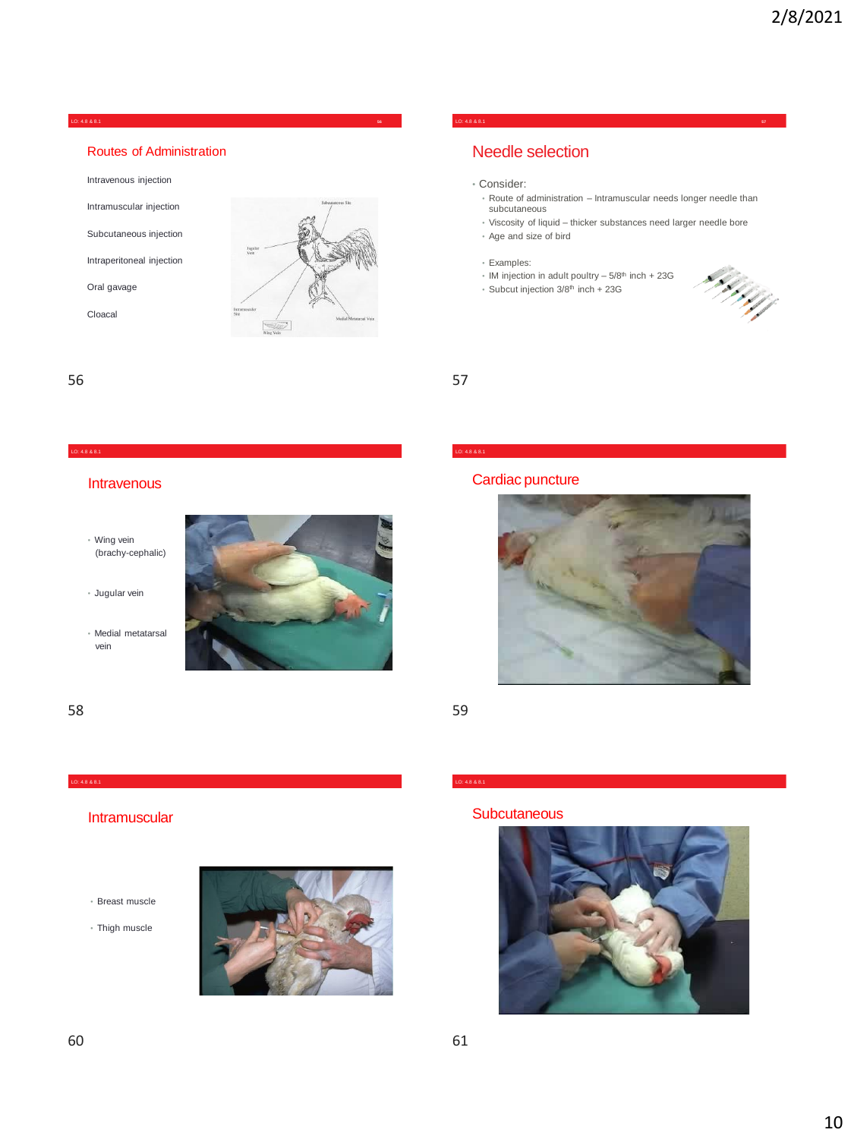#### LO: 4.8 & 8.1 **56**

#### Routes of Administration

Intravenous injection

Intramuscular injection

Subcutaneous injection

Intraperitoneal injection

Oral gavage

Cloacal



#### LO: 4.8 & 8.1 **57**

## Needle selection

- Consider:
	- Route of administration Intramuscular needs longer needle than subcutaneous
	- Viscosity of liquid thicker substances need larger needle bore • Age and size of bird
	- Examples:
	- $\cdot$  IM injection in adult poultry  $-5/8$ <sup>th</sup> inch  $+23$ G
	- Subcut injection 3/8th inch + 23G



56 57

#### **Intravenous**

- Wing vein (brachy-cephalic)
- Jugular vein
- Medial metatarsal vein



### Cardiac puncture



58 59

LO: 4.8 & 8.1

#### LO: 4.8 & 8.1

#### **Intramuscular**

- Breast muscle
- Thigh muscle



#### **Subcutaneous**

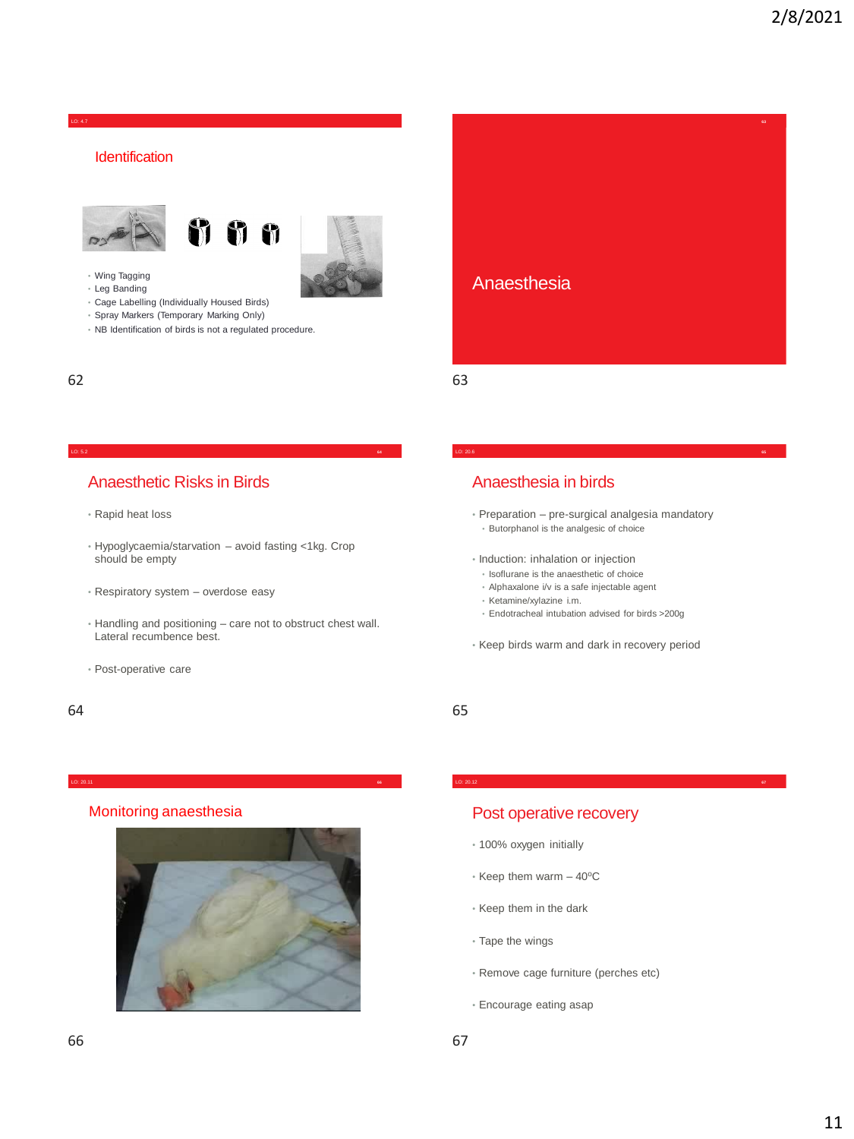**63**

LO: 4.7

### **Identification**







- Wing Tagging
- Leg Banding
- Cage Labelling (Individually Housed Birds)
- Spray Markers (Temporary Marking Only)
- NB Identification of birds is not a regulated procedure.

62 63



LO: 20.6 **65**

#### LO: 5.2 **64**

### Anaesthetic Risks in Birds

- Rapid heat loss
- Hypoglycaemia/starvation avoid fasting <1kg. Crop should be empty
- Respiratory system overdose easy
- Handling and positioning care not to obstruct chest wall. Lateral recumbence best.
- Post-operative care

#### 64 65

#### • Preparation – pre-surgical analgesia mandatory • Butorphanol is the analgesic of choice

Anaesthesia in birds

- 
- Induction: inhalation or injection • Isoflurane is the anaesthetic of choice
	- Alphaxalone i/v is a safe injectable agent
	- Ketamine/xylazine i.m.
	- Endotracheal intubation advised for birds >200g
- Keep birds warm and dark in recovery period

LO: 20.12 **67**

#### LO: 20.11 **66**

#### Monitoring anaesthesia



### Post operative recovery

- 100% oxygen initially
- $\cdot$  Keep them warm  $-40^{\circ}$ C
- Keep them in the dark
- Tape the wings
- Remove cage furniture (perches etc)
- Encourage eating asap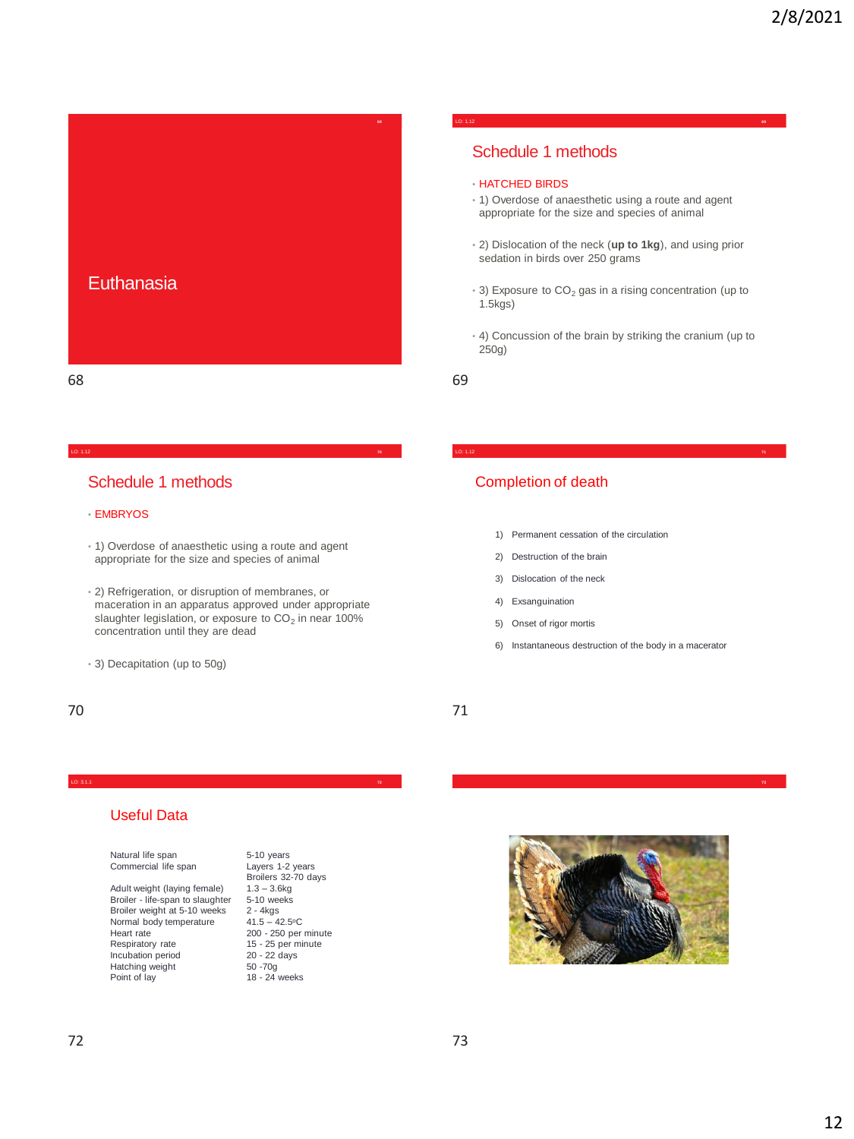

#### LO: 1.12 **69**

## Schedule 1 methods

- HATCHED BIRDS
- 1) Overdose of anaesthetic using a route and agent appropriate for the size and species of animal
- 2) Dislocation of the neck (**up to 1kg**), and using prior sedation in birds over 250 grams
- $\cdot$  3) Exposure to CO<sub>2</sub> gas in a rising concentration (up to 1.5kgs)
- 4) Concussion of the brain by striking the cranium (up to 250g)

LO: 1.12 **71**

### Schedule 1 methods

#### • EMBRYOS

• 1) Overdose of anaesthetic using a route and agent appropriate for the size and species of animal

LO: 1.12 **70**

- 2) Refrigeration, or disruption of membranes, or maceration in an apparatus approved under appropriate slaughter legislation, or exposure to  $CO<sub>2</sub>$  in near 100% concentration until they are dead
- 3) Decapitation (up to 50g)
- 70 71

### Completion of death

- 1) Permanent cessation of the circulation
- 2) Destruction of the brain
- 3) Dislocation of the neck
- 4) Exsanguination
- 5) Onset of rigor mortis
- 6) Instantaneous destruction of the body in a macerator

#### LO: 3.1.1 **73**

#### Useful Data

Natural life span Commercial life span

Adult weight (laying female) Broiler - life-span to slaughter Broiler weight at 5-10 weeks Normal body temperature Heart rate Respiratory rate Incubation period Hatching weight Point of lay

5-10 years Layers 1-2 years Broilers 32-70 days  $1.3 - 3.6$ kg 5-10 weeks 2 - 4kgs  $41.5 - 42.5$ °C 200 - 250 per minute 15 - 25 per minute 20 - 22 days 50 -70g 18 - 24 weeks